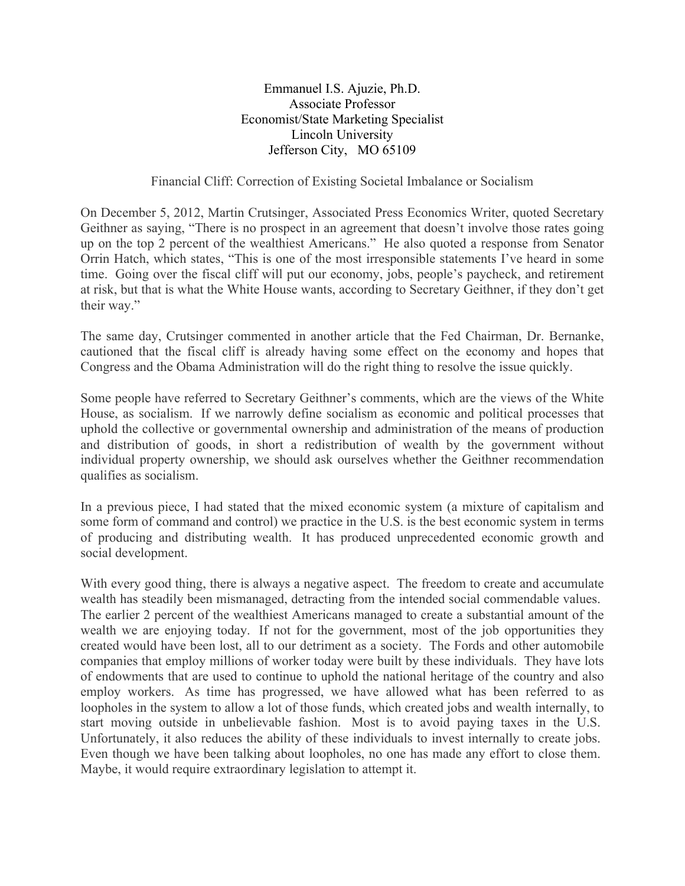Emmanuel I.S. Ajuzie, Ph.D. Associate Professor Economist/State Marketing Specialist Lincoln University Jefferson City, MO 65109

## Financial Cliff: Correction of Existing Societal Imbalance or Socialism

On December 5, 2012, Martin Crutsinger, Associated Press Economics Writer, quoted Secretary Geithner as saying, "There is no prospect in an agreement that doesn't involve those rates going up on the top 2 percent of the wealthiest Americans." He also quoted a response from Senator Orrin Hatch, which states, "This is one of the most irresponsible statements I've heard in some time. Going over the fiscal cliff will put our economy, jobs, people's paycheck, and retirement at risk, but that is what the White House wants, according to Secretary Geithner, if they don't get their way."

The same day, Crutsinger commented in another article that the Fed Chairman, Dr. Bernanke, cautioned that the fiscal cliff is already having some effect on the economy and hopes that Congress and the Obama Administration will do the right thing to resolve the issue quickly.

Some people have referred to Secretary Geithner's comments, which are the views of the White House, as socialism. If we narrowly define socialism as economic and political processes that uphold the collective or governmental ownership and administration of the means of production and distribution of goods, in short a redistribution of wealth by the government without individual property ownership, we should ask ourselves whether the Geithner recommendation qualifies as socialism.

In a previous piece, I had stated that the mixed economic system (a mixture of capitalism and some form of command and control) we practice in the U.S. is the best economic system in terms of producing and distributing wealth. It has produced unprecedented economic growth and social development.

With every good thing, there is always a negative aspect. The freedom to create and accumulate wealth has steadily been mismanaged, detracting from the intended social commendable values. The earlier 2 percent of the wealthiest Americans managed to create a substantial amount of the wealth we are enjoying today. If not for the government, most of the job opportunities they created would have been lost, all to our detriment as a society. The Fords and other automobile companies that employ millions of worker today were built by these individuals. They have lots of endowments that are used to continue to uphold the national heritage of the country and also employ workers. As time has progressed, we have allowed what has been referred to as loopholes in the system to allow a lot of those funds, which created jobs and wealth internally, to start moving outside in unbelievable fashion. Most is to avoid paying taxes in the U.S. Unfortunately, it also reduces the ability of these individuals to invest internally to create jobs. Even though we have been talking about loopholes, no one has made any effort to close them. Maybe, it would require extraordinary legislation to attempt it.